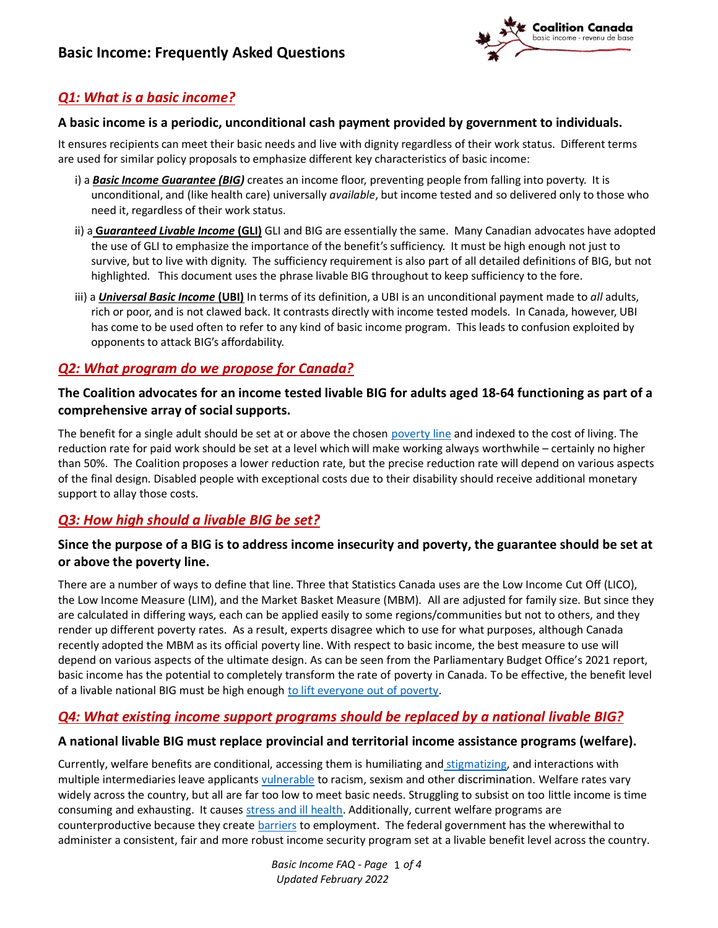

## *Q1: What is a basic income?*

#### **A basic income is a periodic, unconditional cash payment provided by government to individuals.**

It ensures recipients can meet their basic needs and live with dignity regardless of their work status. Different terms are used for similar policy proposals to emphasize different key characteristics of basic income:

- i) a *Basic Income Guarantee (BIG)* creates an income floor, preventing people from falling into poverty. It is unconditional, and (like health care) universally *available*, but income tested and so delivered only to those who need it, regardless of their work status.
- ii) a **G***uaranteed Livable Income* **(GLI)** GLI and BIG are essentially the same. Many Canadian advocates have adopted the use of GLI to emphasize the importance of the benefit's sufficiency. It must be high enough not just to survive, but to live with dignity. The sufficiency requirement is also part of all detailed definitions of BIG, but not highlighted. This document uses the phrase livable BIG throughout to keep sufficiency to the fore.
- iii) a *Universal Basic Income* **(UBI)** In terms of its definition, a UBI is an unconditional payment made to *all* adults, rich or poor, and is not clawed back. It contrasts directly with income tested models. In Canada, however, UBI has come to be used often to refer to any kind of basic income program. This leads to confusion exploited by opponents to attack BIG's affordability.

## *Q2: What program do we propose for Canada?*

### **The Coalition advocates for an income tested livable BIG for adults aged 18-64 functioning as part of a comprehensive array of social supports.**

The benefit for a single adult should be set at or above the chosen [poverty line](https://maytree.com/wp-content/uploads/How_do_we_measure_poverty_May2017.pdf) and indexed to the cost of living. The reduction rate for paid work should be set at a level which will make working always worthwhile – certainly no higher than 50%. The Coalition proposes a lower reduction rate, but the precise reduction rate will depend on various aspects of the final design. Disabled people with exceptional costs due to their disability should receive additional monetary support to allay those costs.

## *Q3: How high should a livable BIG be set?*

### **Since the purpose of a BIG is to address income insecurity and poverty, the guarantee should be set at or above the poverty line.**

There are a number of ways to define that line. Three that Statistics Canada uses are the Low Income Cut Off (LICO), the Low Income Measure (LIM), and the Market Basket Measure (MBM). All are adjusted for family size. But since they are calculated in differing ways, each can be applied easily to some regions/communities but not to others, and they render up different poverty rates. As a result, experts disagree which to use for what purposes, although Canada recently adopted the MBM as its official poverty line. With respect to basic income, the best measure to use will depend on various aspects of the ultimate design. As can be seen from the Parliamentary Budget Office's 2021 report, basic income has the potential to completely transform the rate of poverty in Canada. To be effective, the benefit level of a livable national BIG must be high enough [to lift everyone out of poverty.](https://basicincomecoalition.ca/en/what-is-basic-income/basic-income-we-want-for-canada/)

## *Q4: What existing income support programs should be replaced by a national livable BIG?*

#### **A national livable BIG must replace provincial and territorial income assistance programs (welfare).**

Currently, welfare benefits are conditional, accessing them is humiliating and [stigmatizing,](https://www.cbc.ca/radio/outintheopen/support-systems-1.5157165/i-had-no-cushion-the-stigma-of-seeking-social-assistance-as-a-single-mother-living-in-poverty-1.5164828) and interactions with multiple intermediaries leave applicants [vulnerable](https://www.cpha.ca/racism-and-public-health) to racism, sexism and other discrimination. Welfare rates vary widely across the country, but all are far too low to meet basic needs. Struggling to subsist on too little income is time consuming and exhausting. It causes [stress and ill health.](https://ontario.cmha.ca/documents/poverty-and-mental-illness/) Additionally, current welfare programs are counterproductive because they create [barriers](https://hamiltoncommunityfoundation.ca/vital-signs-2015/barriers-to-employment-2015/) to employment. The federal government has the wherewithal to administer a consistent, fair and more robust income security program set at a livable benefit level across the country.

> *Basic Income FAQ - Page* 1 of 4 *Updated February 2022*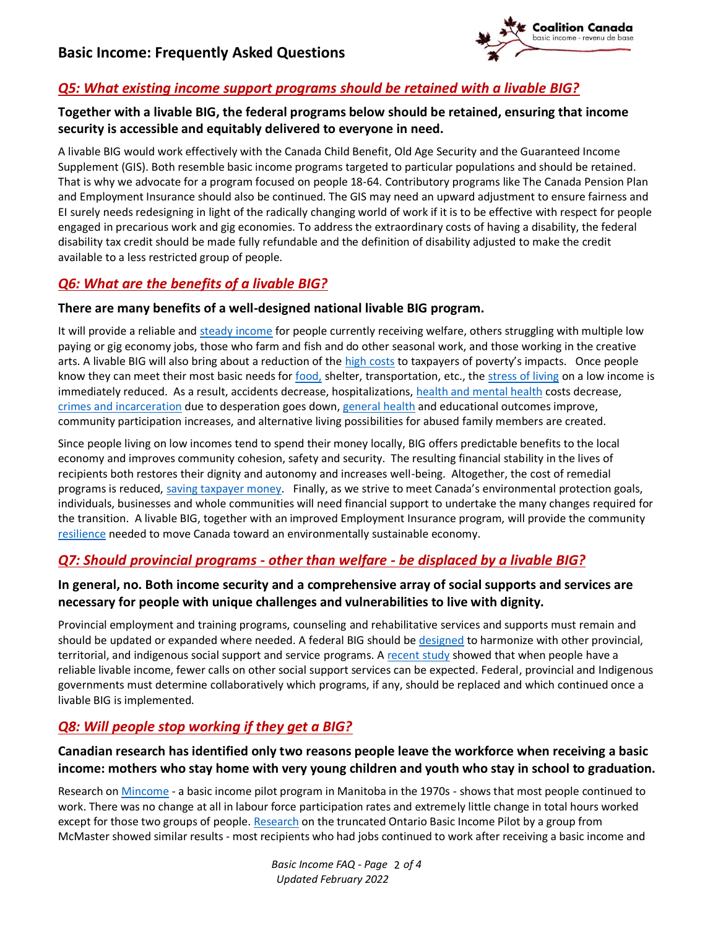

## *Q5: What existing income support programs should be retained with a livable BIG?*

## **Together with a livable BIG, the federal programs below should be retained, ensuring that income security is accessible and equitably delivered to everyone in need.**

A livable BIG would work effectively with the Canada Child Benefit, Old Age Security and the Guaranteed Income Supplement (GIS). Both resemble basic income programs targeted to particular populations and should be retained. That is why we advocate for a program focused on people 18-64. Contributory programs like The Canada Pension Plan and Employment Insurance should also be continued. The GIS may need an upward adjustment to ensure fairness and EI surely needs redesigning in light of the radically changing world of work if it is to be effective with respect for people engaged in precarious work and gig economies. To address the extraordinary costs of having a disability, the federal disability tax credit should be made fully refundable and the definition of disability adjusted to make the credit available to a less restricted group of people.

## *Q6: What are the benefits of a livable BIG?*

### **There are many benefits of a well-designed national livable BIG program.**

It will provide a reliable an[d steady income](https://labourstudies.mcmaster.ca/documents/southern-ontarios-basic-income-experience.pdf) for people currently receiving welfare, others struggling with multiple low paying or gig economy jobs, those who farm and fish and do other seasonal work, and those working in the creative arts. A livable BIG will also bring about a reduction of the [high costs](https://www.policyalternatives.ca/sites/default/files/uploads/publications/Nova%20Scotia%20Office/2021/04/Cost%20of%20poverty%20in%20Atlantic%20provinces%20CCPA.pdf) to taxpayers of poverty's impacts. Once people know they can meet their most basic needs for [food,](https://d3n8a8pro7vhmx.cloudfront.net/obin/pages/230/attachments/original/1606961302/BI_food_insecurity_briefing_note_-revised-2dec2020.pdf?1606961302) shelter, transportation, etc., the [stress of living](https://labourstudies.mcmaster.ca/documents/southern-ontarios-basic-income-experience.pdf) on a low income is immediately reduced. As a result, accidents decrease, hospitalizations, [health and mental health](https://www.utpjournals.press/doi/full/10.3138/cpp.37.3.283) costs decrease, [crimes and incarceration](https://johnhoward.on.ca/wp-content/uploads/2014/09/counter-point-1-poverty-and-crime-is-there-a-connection.pdf) due to desperation goes down[, general health](https://d3n8a8pro7vhmx.cloudfront.net/obin/pages/256/attachments/original/1614271257/Basic_Income_and_Health_Brief.pdf?1614271257) and educational outcomes improve, community participation increases, and alternative living possibilities for abused family members are created.

Since people living on low incomes tend to spend their money locally, BIG offers predictable benefits to the local economy and improves community cohesion, safety and security. The resulting financial stability in the lives of recipients both restores their dignity and autonomy and increases well-being. Altogether, the cost of remedial programs is reduced, [saving taxpayer money](https://basicincomecoalition.ca/wp-content/uploads/2022/01/BI_case_for_the_Standing_Committee_on_Finance_fl.pdf). Finally, as we strive to meet Canada's environmental protection goals, individuals, businesses and whole communities will need financial support to undertake the many changes required for the transition. A livable BIG, together with an improved Employment Insurance program, will provide the communit[y](https://basicincomecoalition.ca/wp-content/uploads/2021/03/ENVI-Submission-to-Standing-Committee-on-Environment-and-Sustainable-Development-BI-and-Just-Transition-March-2021.pdf) [resilience](https://basicincomecoalition.ca/wp-content/uploads/2021/03/ENVI-Submission-to-Standing-Committee-on-Environment-and-Sustainable-Development-BI-and-Just-Transition-March-2021.pdf) needed to move Canada toward an environmentally sustainable economy.

## *Q7: Should provincial programs - other than welfare - be displaced by a livable BIG?*

### **In general, no. Both income security and a comprehensive array of social supports and services are necessary for people with unique challenges and vulnerabilities to live with dignity.**

Provincial employment and training programs, counseling and rehabilitative services and supports must remain and should be updated or expanded where needed. A federal BIG should b[e designed](https://www.econ.queensu.ca/sites/econ.queensu.ca/files/qed_wp_1371.pdf) to harmonize with other provincial, territorial, and indigenous social support and service programs. A [recent study](https://labourstudies.mcmaster.ca/documents/southern-ontarios-basic-income-experience.pdf) showed that when people have a reliable livable income, fewer calls on other social support services can be expected. Federal, provincial and Indigenous governments must determine collaboratively which programs, if any, should be replaced and which continued once a livable BIG is implemented.

## *Q8: Will people stop working if they get a BIG?*

## **Canadian research has identified only two reasons people leave the workforce when receiving a basic income: mothers who stay home with very young children and youth who stay in school to graduation.**

Research on [Mincome](https://www.utpjournals.press/doi/full/10.3138/cpp.37.3.283) - a basic income pilot program in Manitoba in the 1970s - shows that most people continued to work. There was no change at all in labour force participation rates and extremely little change in total hours worked except for those two groups of people[. Research](https://labourstudies.mcmaster.ca/documents/southern-ontarios-basic-income-experience.pdf) on the truncated Ontario Basic Income Pilot by a group from McMaster showed similar results - most recipients who had jobs continued to work after receiving a basic income and

> Basic Income FAQ - Page 2 of 4 *Updated February 2022*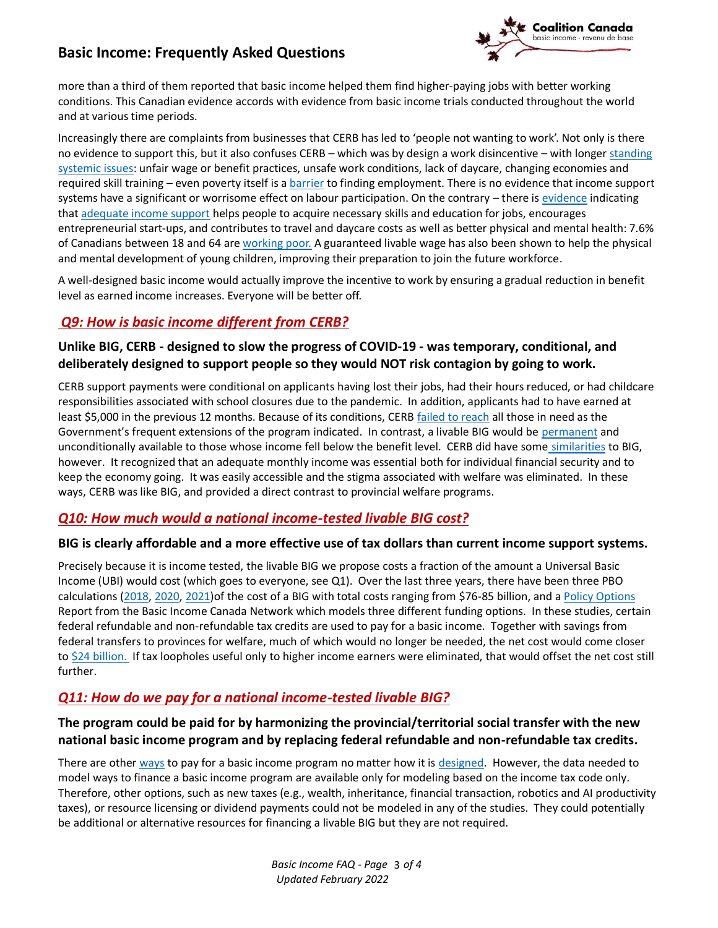# **Basic Income: Frequently Asked Questions**



more than a third of them reported that basic income helped them find higher-paying jobs with better working conditions. This Canadian evidence accords with evidence from basic income trials conducted throughout the world and at various time periods.

Increasingly there are complaints from businesses that CERB has led to 'people not wanting to work'. Not only is there no evidence to support this, but it also confuses CERB – which was by design a work disincentive – with longer standing [systemic issues:](file:///C:/Users/CJDT/Downloads/study-labour-shortage%20(1).pdf) unfair wage or benefit practices, unsafe work conditions, lack of daycare, changing economies and required skill training – even poverty itself is a [barrier](https://hamiltoncommunityfoundation.ca/vital-signs-2015/barriers-to-employment-2015/) to finding employment. There is no evidence that income support systems have a significant or worrisome effect on labour participation. On the contrary – there is [evidence](https://rsc-src.ca/sites/default/files/FBI%20PB_EN_0.pdf) indicating tha[t adequate income support](https://static1.squarespace.com/static/6039d612b17d055cac14070f/t/603ef1194c474b329f33c329/1614737690661/SEED_Preliminary+Analysis-SEEDs+First+Year_Final+Report_Individual+Pages+-2.pdf) helps people to acquire necessary skills and education for jobs, encourages entrepreneurial start-ups, and contributes to travel and daycare costs as well as better physical and mental health: 7.6% of Canadians between 18 and 64 are [working poor.](https://rsc-src.ca/sites/default/files/FBI%20PB_EN_0.pdf) A guaranteed livable wage has also been shown to help the physical and mental development of young children, improving their preparation to join the future workforce.

A well-designed basic income would actually improve the incentive to work by ensuring a gradual reduction in benefit level as earned income increases. Everyone will be better off.

## *Q9: How is basic income different from CERB?*

## **Unlike BIG, CERB - designed to slow the progress of COVID-19 - was temporary, conditional, and deliberately designed to support people so they would NOT risk contagion by going to work.**

CERB support payments were conditional on applicants having lost their jobs, had their hours reduced, or had childcare responsibilities associated with school closures due to the pandemic. In addition, applicants had to have earned at least \$5,000 in the previous 12 months. Because of its conditions, CER[B failed to reach](https://canadiandimension.com/articles/view/how-covid-19-and-cerb-proved-basic-income-is-not-only-possible-it-works) all those in need as the Government's frequent extensions of the program indicated. In contrast, a livable BIG would be [permanent](http://www.lorimer.ca/adults/Book/3189/Basic-Income-for-Canadians.html) and unconditionally available to those whose income fell below the benefit level. CERB did have some [similarities](https://monitormag.ca/articles/1-8-million-canadians-better-off-with-a-higher-ei-and-crb-floor/) to BIG, however. It recognized that an adequate monthly income was essential both for individual financial security and to keep the economy going. It was easily accessible and the stigma associated with welfare was eliminated. In these ways, CERB was like BIG, and provided a direct contrast to provincial welfare programs.

## *Q10: How much would a national income-tested livable BIG cost?*

#### **BIG is clearly affordable and a more effective use of tax dollars than current income support systems.**

Precisely because it is income tested, the livable BIG we propose costs a fraction of the amount a Universal Basic Income (UBI) would cost (which goes to everyone, see Q1). Over the last three years, there have been three PBO calculations [\(2018,](http://www.pbo-dpb.gc.ca/web/default/files/Documents/Reports/2018/Basic%20Income/Basic_Income_Costing_EN.pdf) [2020,](https://www.pbo-dpb.gc.ca/en/blog/news/BLOG-2021-004--update-five-year-cost-estimate-guaranteed-basic-income--mise-jour-estimation-cinq-ans-cout-revenu-base-garanti) [2021\)](https://distribution-a617274656661637473.pbo-dpb.ca/71f12c2a896208681dcd59ff69f19e1a6c024d00a60c2e2c195f56293f8fff1c)of the cost of a BIG with total costs ranging from \$76-85 billion, and [a Policy Options](https://basicincomecanada.org/wp-content/uploads/2021/04/Basic_Income-_Some_Policy_Options_for_Canada.pdf) Report from the Basic Income Canada Network which models three different funding options. In these studies, certain federal refundable and non-refundable tax credits are used to pay for a basic income. Together with savings from federal transfers to provinces for welfare, much of which would no longer be needed, the net cost would come closer to \$24 [billion.](https://leaderpost.com/opinion/columnists/why-a-canadian-basic-income-is-inevitable) If tax loopholes useful only to higher income earners were eliminated, that would offset the net cost still further.

## *Q11: How do we pay for a national income-tested livable BIG?*

## **The program could be paid for by harmonizing the provincial/territorial social transfer with the new national basic income program and by replacing federal refundable and non-refundable tax credits.**

There are other [ways](https://www.utpjournals.press/doi/epdf/10.3138/cpp.2018-044) to pay for a basic income program no matter how it is [designed.](https://www.econ.queensu.ca/sites/econ.queensu.ca/files/qed_wp_1371.pdf) However, the data needed to model ways to finance a basic income program are available only for modeling based on the income tax code only. Therefore, other options, such as new taxes (e.g., wealth, inheritance, financial transaction, robotics and AI productivity taxes), or resource licensing or dividend payments could not be modeled in any of the studies. They could potentially be additional or alternative resources for financing a livable BIG but they are not required.